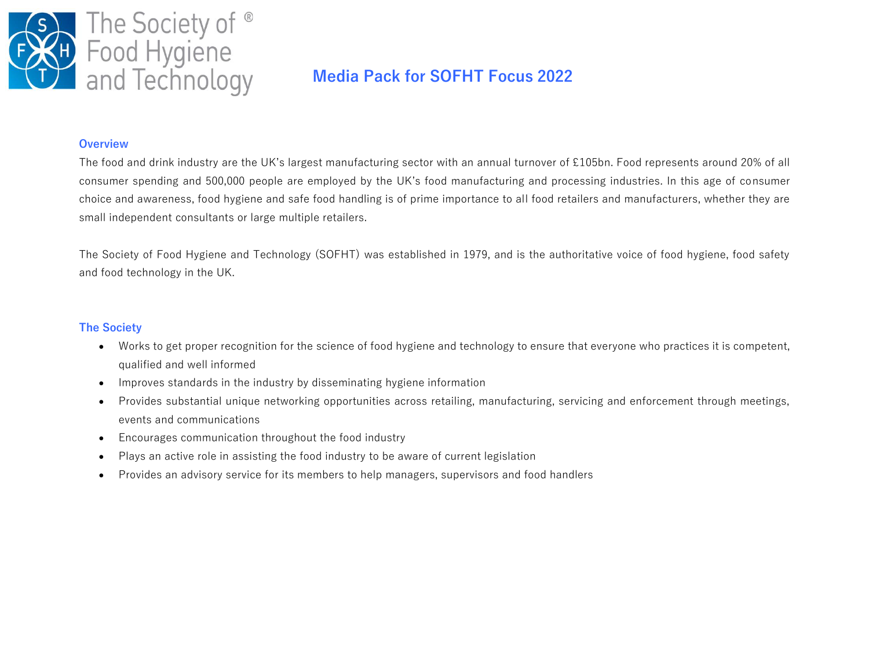

# **Media Pack for SOFHT Focus 2022**

#### **Overview**

The food and drink industry are the UK's largest manufacturing sector with an annual turnover of £105bn. Food represents around 20% of all consumer spending and 500,000 people are employed by the UK's food manufacturing and processing industries. In this age of consumer choice and awareness, food hygiene and safe food handling is of prime importance to all food retailers and manufacturers, whether they are small independent consultants or large multiple retailers.

The Society of Food Hygiene and Technology (SOFHT) was established in 1979, and is the authoritative voice of food hygiene, food safety and food technology in the UK.

#### **The Society**

- Works to get proper recognition for the science of food hygiene and technology to ensure that everyone who practices it is competent, qualified and well informed
- Improves standards in the industry by disseminating hygiene information
- Provides substantial unique networking opportunities across retailing, manufacturing, servicing and enforcement through meetings, events and communications
- Encourages communication throughout the food industry
- Plays an active role in assisting the food industry to be aware of current legislation
- Provides an advisory service for its members to help managers, supervisors and food handlers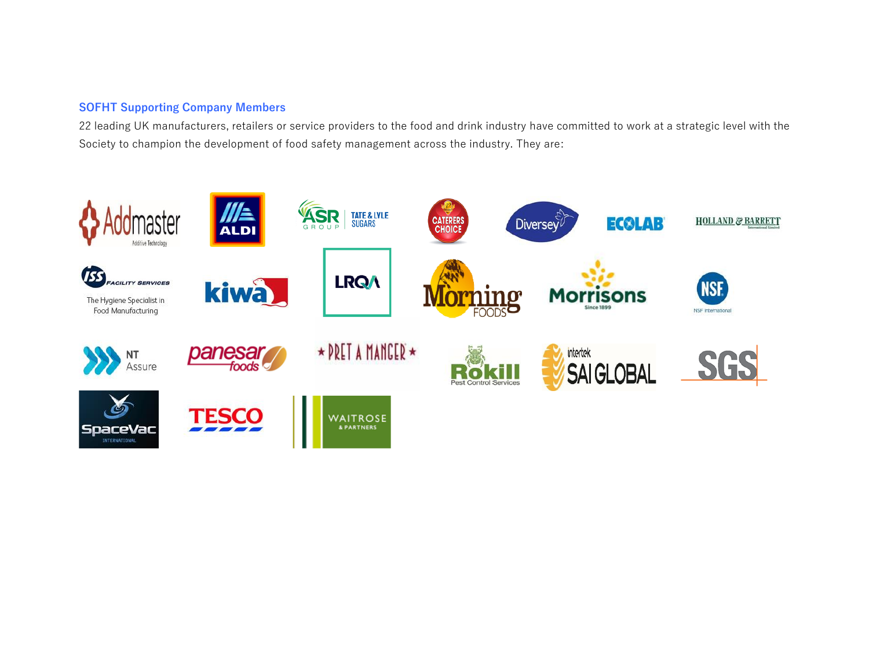# **SOFHT Supporting Company Members**

22 leading UK manufacturers, retailers or service providers to the food and drink industry have committed to work at a strategic level with the Society to champion the development of food safety management across the industry. They are:

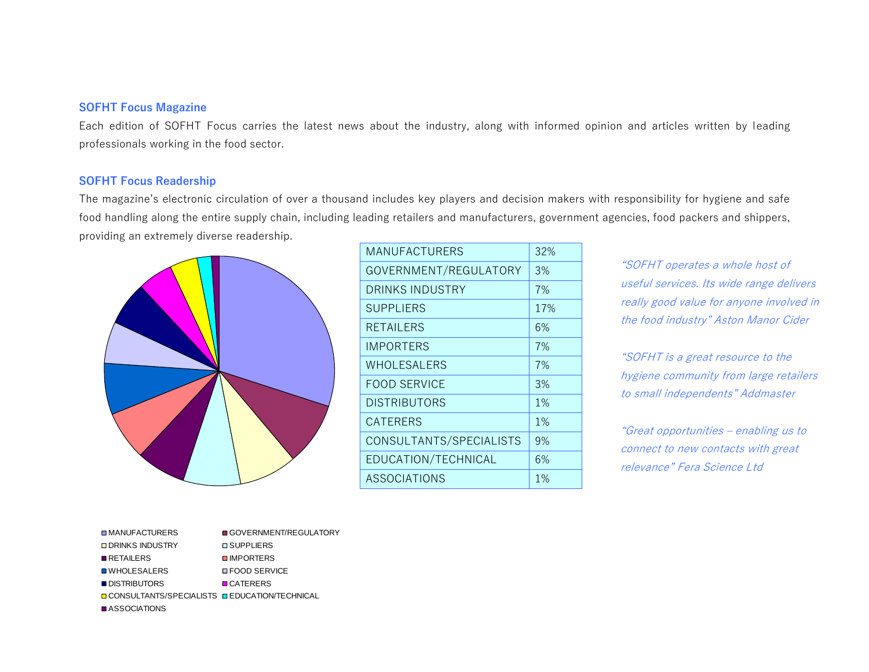#### **SOFHT Focus Magazine**

Each edition of SOFHT Focus carries the latest news about the industry, along with informed opinion and articles written by leading professionals working in the food sector.

## **SOFHT Focus Readership**

The magazine's electronic circulation of over a thousand includes key players and decision makers with responsibility for hygiene and safe food handling along the entire supply chain, including leading retailers and manufacturers, government agencies, food packers and shippers, providing an extremely diverse readership.



| 32% |
|-----|
| 3%  |
| 7%  |
| 17% |
| 6%  |
| 7%  |
| 7%  |
| 3%  |
| 1%  |
| 1%  |
| 9%  |
| 6%  |
| 1%  |
|     |

"SOFHT operates a whole host of useful services. Its wide range delivers really good value for anyone involved in the food industry" Aston Manor Cider

"SOFHT is a great resource to the hygiene community from large retailers to small independents" Addmaster

"Great opportunities – enabling us to connect to new contacts with great relevance" Fera Science Ltd

| <b>□ MANUFACTURERS</b>                                 | GOVERNMENT/REGULATORY  |
|--------------------------------------------------------|------------------------|
| <b>ODRINKS INDUSTRY</b>                                | <b>O SUPPLIERS</b>     |
| <b>RETAILERS</b>                                       | <b>U</b> IMPORTERS     |
| <b>■ WHOLESALERS</b>                                   | <b>OF FOOD SERVICE</b> |
| <b>DISTRIBUTORS</b>                                    | <b>D</b> CATERERS      |
| <b>Q CONSULTANTS/SPECIALISTS Q EDUCATION/TECHNICAL</b> |                        |
| <b>■ ASSOCIATIONS</b>                                  |                        |
|                                                        |                        |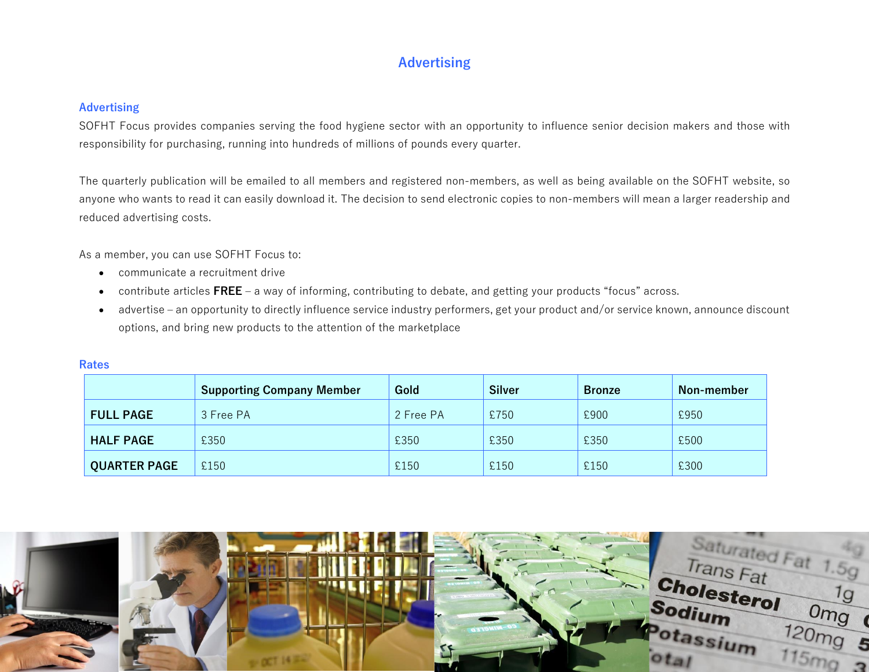# **Advertising**

## **Advertising**

SOFHT Focus provides companies serving the food hygiene sector with an opportunity to influence senior decision makers and those with responsibility for purchasing, running into hundreds of millions of pounds every quarter.

The quarterly publication will be emailed to all members and registered non-members, as well as being available on the SOFHT website, so anyone who wants to read it can easily download it. The decision to send electronic copies to non-members will mean a larger readership and reduced advertising costs.

As a member, you can use SOFHT Focus to:

- communicate a recruitment drive
- contribute articles **FREE** a way of informing, contributing to debate, and getting your products "focus" across.
- advertise an opportunity to directly influence service industry performers, get your product and/or service known, announce discount options, and bring new products to the attention of the marketplace

|                     | <b>Supporting Company Member</b> | Gold      | <b>Silver</b> | <b>Bronze</b> | Non-member |
|---------------------|----------------------------------|-----------|---------------|---------------|------------|
| <b>FULL PAGE</b>    | 3 Free PA                        | 2 Free PA | £750          | £900          | £950       |
| <b>HALF PAGE</b>    | £350                             | £350      | £350          | £350          | £500       |
| <b>QUARTER PAGE</b> | £150                             | £150      | £150          | £150          | £300       |